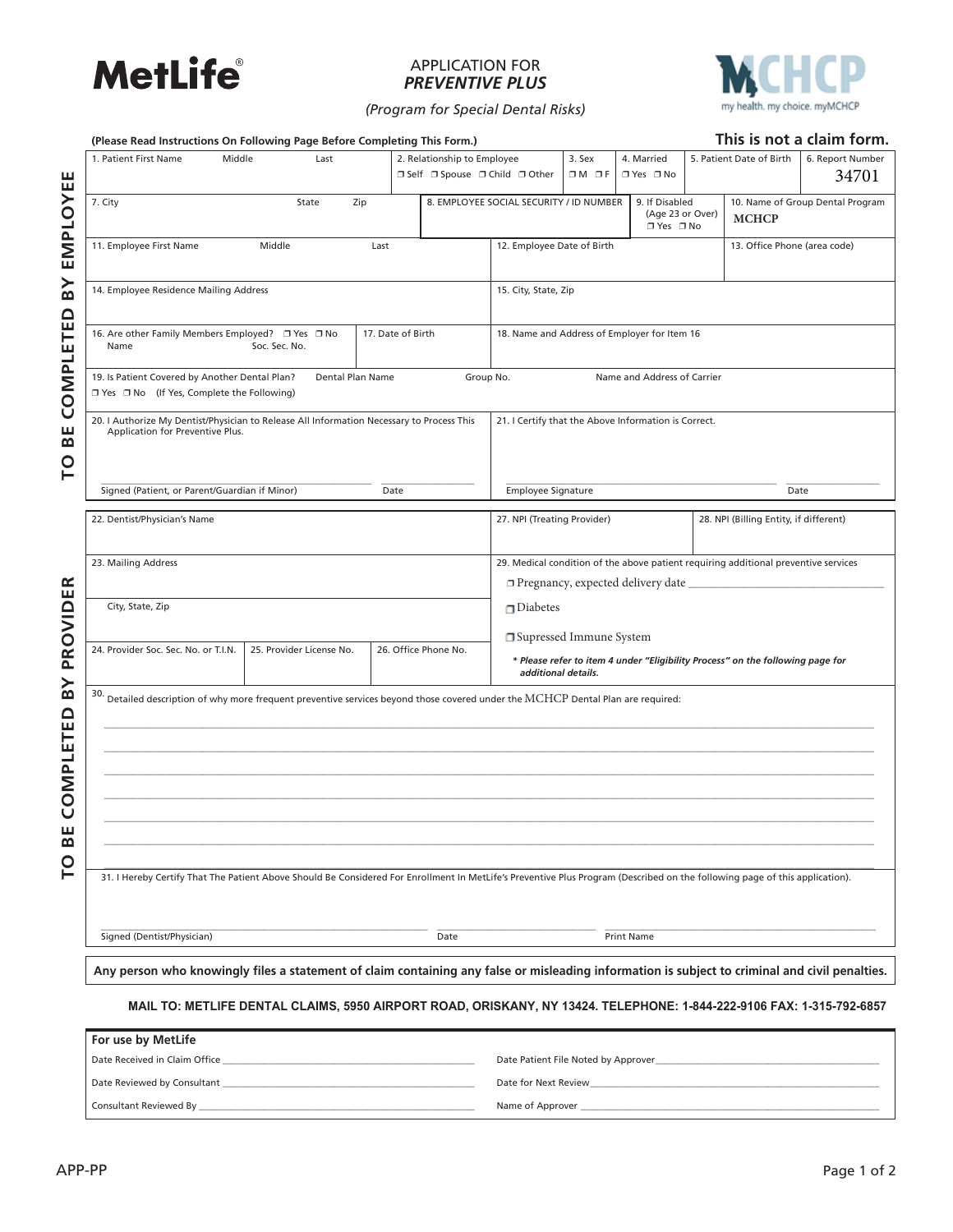

## APPLICATION FOR *PREVENTIVE PLUS*



*(Program for Special Dental Risks)*

| 1. Patient First Name                                                                                                                                                       | Middle | Last                                                                                                                         |      | 2. Relationship to Employee<br>□ Self □ Spouse □ Child □ Other |                                                      | 3. Sex<br>$OM$ $DF$ | 4. Married<br>□ Yes □ No              |                  | 5. Patient Date of Birth                                                            | 6. Report Number<br>34701        |
|-----------------------------------------------------------------------------------------------------------------------------------------------------------------------------|--------|------------------------------------------------------------------------------------------------------------------------------|------|----------------------------------------------------------------|------------------------------------------------------|---------------------|---------------------------------------|------------------|-------------------------------------------------------------------------------------|----------------------------------|
| 7. City                                                                                                                                                                     |        | State<br>Zip                                                                                                                 |      |                                                                | 8. EMPLOYEE SOCIAL SECURITY / ID NUMBER              |                     | 9. If Disabled<br>□ Yes □ No          | (Age 23 or Over) | <b>MCHCP</b>                                                                        | 10. Name of Group Dental Program |
| 11. Employee First Name<br>Middle<br>Last                                                                                                                                   |        |                                                                                                                              |      | 12. Employee Date of Birth                                     |                                                      |                     | 13. Office Phone (area code)          |                  |                                                                                     |                                  |
| 14. Employee Residence Mailing Address                                                                                                                                      |        |                                                                                                                              |      |                                                                | 15. City, State, Zip                                 |                     |                                       |                  |                                                                                     |                                  |
| 17. Date of Birth<br>16. Are other Family Members Employed? □ Yes □ No<br>Soc. Sec. No.<br>Name                                                                             |        |                                                                                                                              |      |                                                                | 18. Name and Address of Employer for Item 16         |                     |                                       |                  |                                                                                     |                                  |
| 19. Is Patient Covered by Another Dental Plan?<br>□ Yes □ No (If Yes, Complete the Following)                                                                               |        | Dental Plan Name                                                                                                             |      | Group No.                                                      |                                                      |                     | Name and Address of Carrier           |                  |                                                                                     |                                  |
| 20. I Authorize My Dentist/Physician to Release All Information Necessary to Process This<br>Application for Preventive Plus.                                               |        |                                                                                                                              |      |                                                                | 21. I Certify that the Above Information is Correct. |                     |                                       |                  |                                                                                     |                                  |
| Signed (Patient, or Parent/Guardian if Minor)                                                                                                                               |        |                                                                                                                              | Date |                                                                | <b>Employee Signature</b>                            |                     |                                       |                  | Date                                                                                |                                  |
| 22. Dentist/Physician's Name                                                                                                                                                |        |                                                                                                                              |      |                                                                | 27. NPI (Treating Provider)                          |                     |                                       |                  | 28. NPI (Billing Entity, if different)                                              |                                  |
| 23. Mailing Address                                                                                                                                                         |        |                                                                                                                              |      |                                                                |                                                      |                     | □ Pregnancy, expected delivery date _ |                  | 29. Medical condition of the above patient requiring additional preventive services |                                  |
| City, State, Zip                                                                                                                                                            |        |                                                                                                                              |      |                                                                | $\Box$ Diabetes                                      |                     |                                       |                  |                                                                                     |                                  |
| 24. Provider Soc. Sec. No. or T.I.N.                                                                                                                                        |        | 25. Provider License No.                                                                                                     |      | 26. Office Phone No.                                           | □ Supressed Immune System<br>additional details.     |                     |                                       |                  | * Please refer to item 4 under "Eligibility Process" on the following page for      |                                  |
| 30.                                                                                                                                                                         |        | Detailed description of why more frequent preventive services beyond those covered under the MCHCP Dental Plan are required: |      |                                                                |                                                      |                     |                                       |                  |                                                                                     |                                  |
|                                                                                                                                                                             |        |                                                                                                                              |      |                                                                |                                                      |                     |                                       |                  |                                                                                     |                                  |
| 31. I Hereby Certify That The Patient Above Should Be Considered For Enrollment In MetLife's Preventive Plus Program (Described on the following page of this application). |        |                                                                                                                              |      |                                                                |                                                      |                     |                                       |                  |                                                                                     |                                  |
|                                                                                                                                                                             |        |                                                                                                                              |      |                                                                |                                                      |                     |                                       |                  |                                                                                     |                                  |

**MAIL TO: METLIFE DENTAL CLAIMS, 5950 AIRPORT ROAD, ORISKANY, NY 13424. TELEPHONE: 1-844-222-9106 FAX: 1-315-792-6857**

| For use by MetLife            |                                     |
|-------------------------------|-------------------------------------|
| Date Received in Claim Office | Date Patient File Noted by Approver |
| Date Reviewed by Consultant   | Date for Next Review                |
| Consultant Reviewed By        | Name of Approver                    |